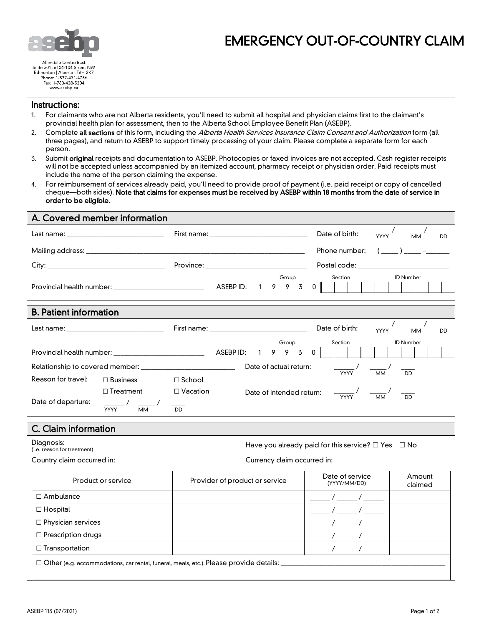

# EMERGENCY OUT-OF-COUNTRY CLAIM

Fax: 1-780-438-5304 www.asebp.ca

### Instructions:

- 1. For claimants who are not Alberta residents, you'll need to submit all hospital and physician claims first to the claimant's provincial health plan for assessment, then to the Alberta School Employee Benefit Plan (ASEBP).
- 2. Complete all sections of this form, including the Alberta Health Services Insurance Claim Consent and Authorization form (all three pages), and return to ASEBP to support timely processing of your claim. Please complete a separate form for each person.
- 3. Submit original receipts and documentation to ASEBP. Photocopies or faxed invoices are not accepted. Cash register receipts will not be accepted unless accompanied by an itemized account, pharmacy receipt or physician order. Paid receipts must include the name of the person claiming the expense.
- 4. For reimbursement of services already paid, you'll need to provide proof of payment (i.e. paid receipt or copy of cancelled cheque—both sides). Note that claims for expenses must be received by ASEBP within 18 months from the date of service in order to be eligible.

| A. Covered member information                 |                                              |                                                |                                                                                                                                                                                                                                                                                                                                                                                                                                                                                                                                         |
|-----------------------------------------------|----------------------------------------------|------------------------------------------------|-----------------------------------------------------------------------------------------------------------------------------------------------------------------------------------------------------------------------------------------------------------------------------------------------------------------------------------------------------------------------------------------------------------------------------------------------------------------------------------------------------------------------------------------|
| Last name: __________________________________ |                                              | First name: _________________________________  | Date of birth:<br><b>YYYY</b><br>$\overline{MM}$<br><b>DD</b>                                                                                                                                                                                                                                                                                                                                                                                                                                                                           |
|                                               |                                              |                                                | $(\underline{\hspace{1cm}})$ $\underline{\hspace{1cm}}$ $\underline{\hspace{1cm}}$ $\underline{\hspace{1cm}}$ $\underline{\hspace{1cm}}$ $\underline{\hspace{1cm}}$ $\underline{\hspace{1cm}}$ $\underline{\hspace{1cm}}$ $\underline{\hspace{1cm}}$ $\underline{\hspace{1cm}}$ $\underline{\hspace{1cm}}$ $\underline{\hspace{1cm}}$ $\underline{\hspace{1cm}}$ $\underline{\hspace{1cm}}$ $\underline{\hspace{1cm}}$ $\underline{\hspace{1cm}}$ $\underline{\hspace{1cm}}$ $\underline{\hspace{1cm}}$ $\underline{\$<br>Phone number: |
|                                               |                                              |                                                |                                                                                                                                                                                                                                                                                                                                                                                                                                                                                                                                         |
|                                               |                                              | Group<br>ASEBP ID:<br>$\mathbf{1}$<br>9<br>9 3 | <b>ID Number</b><br>Section<br>0 <sup>1</sup>                                                                                                                                                                                                                                                                                                                                                                                                                                                                                           |
| <b>B. Patient information</b>                 |                                              |                                                |                                                                                                                                                                                                                                                                                                                                                                                                                                                                                                                                         |
|                                               |                                              | First name: _________________________________  | Date of birth:<br><b>YYYY</b><br><b>DD</b><br><b>MM</b>                                                                                                                                                                                                                                                                                                                                                                                                                                                                                 |
|                                               |                                              | Group<br>ASEBP ID:<br>9 9<br>$\mathbf{1}$<br>3 | Section<br><b>ID Number</b><br>$\mathsf 0$                                                                                                                                                                                                                                                                                                                                                                                                                                                                                              |
|                                               |                                              | Date of actual return:                         | $\frac{1}{\text{YYYY}}$<br>$\overline{MM}$<br>$\overline{DD}$                                                                                                                                                                                                                                                                                                                                                                                                                                                                           |
| Reason for travel:                            | $\Box$ Business                              | $\Box$ School                                  |                                                                                                                                                                                                                                                                                                                                                                                                                                                                                                                                         |
|                                               | $\Box$ Treatment                             | $\Box$ Vacation<br>Date of intended return:    | $\overline{DD}$                                                                                                                                                                                                                                                                                                                                                                                                                                                                                                                         |
| Date of departure:                            | $\frac{1}{\text{XYY}}$ $\frac{1}{\text{MM}}$ | $\overline{DD}$                                |                                                                                                                                                                                                                                                                                                                                                                                                                                                                                                                                         |
| C. Claim information                          |                                              |                                                |                                                                                                                                                                                                                                                                                                                                                                                                                                                                                                                                         |
| Diagnosis:<br>(i.e. reason for treatment)     |                                              |                                                | Have you already paid for this service? $\square$ Yes $\square$ No                                                                                                                                                                                                                                                                                                                                                                                                                                                                      |
|                                               |                                              |                                                |                                                                                                                                                                                                                                                                                                                                                                                                                                                                                                                                         |
| Product or service                            |                                              | Provider of product or service                 | Date of service<br>Amount<br>(YYYY/MM/DD)<br>claimed                                                                                                                                                                                                                                                                                                                                                                                                                                                                                    |
| $\Box$ Ambulance                              |                                              |                                                | $\frac{\frac{1}{2}}{2}$ / $\frac{\frac{1}{2}}{2}$ / $\frac{\frac{1}{2}}{2}$                                                                                                                                                                                                                                                                                                                                                                                                                                                             |
| $\Box$ Hospital                               |                                              |                                                |                                                                                                                                                                                                                                                                                                                                                                                                                                                                                                                                         |
| $\Box$ Physician services                     |                                              |                                                |                                                                                                                                                                                                                                                                                                                                                                                                                                                                                                                                         |
| $\Box$ Prescription drugs                     |                                              |                                                |                                                                                                                                                                                                                                                                                                                                                                                                                                                                                                                                         |
| $\Box$ Transportation                         |                                              |                                                |                                                                                                                                                                                                                                                                                                                                                                                                                                                                                                                                         |
|                                               |                                              |                                                |                                                                                                                                                                                                                                                                                                                                                                                                                                                                                                                                         |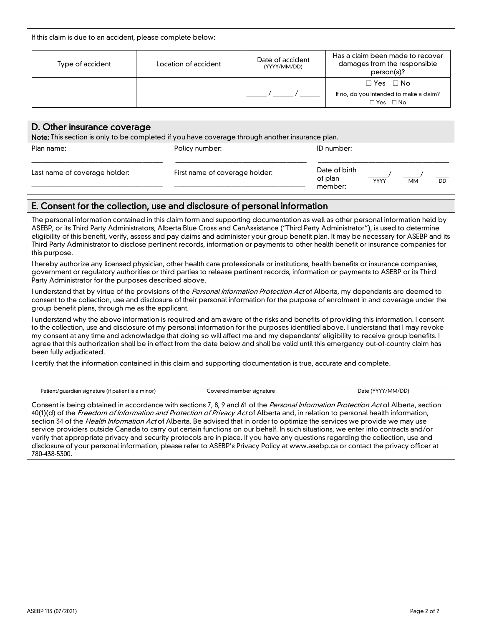| If this claim is due to an accident, please complete below:                                     |                      |                                  |                                                                                         |
|-------------------------------------------------------------------------------------------------|----------------------|----------------------------------|-----------------------------------------------------------------------------------------|
| Type of accident                                                                                | Location of accident | Date of accident<br>(YYYY/MM/DD) | Has a claim been made to recover<br>damages from the responsible<br>person(s)?          |
|                                                                                                 |                      |                                  | $\Box$ Yes $\Box$ No<br>If no, do you intended to make a claim?<br>$\Box$ Yes $\Box$ No |
|                                                                                                 |                      |                                  |                                                                                         |
| D. Other insurance coverage                                                                     |                      |                                  |                                                                                         |
| Note: This section is only to be completed if you have coverage through another insurance plan. |                      |                                  |                                                                                         |
| Plan name:                                                                                      | Policy number:       |                                  | ID number:                                                                              |

### E. Consent for the collection, use and disclosure of personal information

The personal information contained in this claim form and supporting documentation as well as other personal information held by ASEBP, or its Third Party Administrators, Alberta Blue Cross and CanAssistance ("Third Party Administrator"), is used to determine eligibility of this benefit, verify, assess and pay claims and administer your group benefit plan. It may be necessary for ASEBP and its Third Party Administrator to disclose pertinent records, information or payments to other health benefit or insurance companies for this purpose.

\_\_\_\_\_\_\_\_\_\_\_\_\_\_\_\_\_\_\_\_\_\_\_\_\_\_\_\_\_\_\_\_\_\_\_\_\_\_\_

First name of coverage holder:

I hereby authorize any licensed physician, other health care professionals or institutions, health benefits or insurance companies, government or regulatory authorities or third parties to release pertinent records, information or payments to ASEBP or its Third Party Administrator for the purposes described above.

I understand that by virtue of the provisions of the Personal Information Protection Act of Alberta, my dependants are deemed to consent to the collection, use and disclosure of their personal information for the purpose of enrolment in and coverage under the group benefit plans, through me as the applicant.

I understand why the above information is required and am aware of the risks and benefits of providing this information. I consent to the collection, use and disclosure of my personal information for the purposes identified above. I understand that I may revoke my consent at any time and acknowledge that doing so will affect me and my dependants' eligibility to receive group benefits. I agree that this authorization shall be in effect from the date below and shall be valid until this emergency out-of-country claim has been fully adjudicated.

I certify that the information contained in this claim and supporting documentation is true, accurate and complete.

\_\_\_\_\_\_\_\_\_\_\_\_\_\_\_\_\_\_\_\_\_\_\_\_\_\_\_\_\_\_\_\_\_\_\_\_\_\_ Patient/guardian signature (if patient is a minor)

Last name of coverage holder:

\_\_\_\_\_\_\_\_\_\_\_\_\_\_\_\_\_\_\_\_\_\_\_\_\_\_\_\_\_\_\_\_\_\_\_\_\_\_\_

\_\_\_\_\_\_\_\_\_\_\_\_\_\_\_\_\_\_\_\_\_\_\_\_\_\_\_\_\_\_\_\_\_\_\_\_\_\_ Covered member signature

\_\_\_\_\_\_\_\_\_\_\_\_\_\_\_\_\_\_\_\_\_\_\_\_\_\_\_\_\_\_\_\_\_\_\_\_\_\_ Date (YYYY/MM/DD)

Date of birth of plan member:

\_\_\_\_\_\_/ YYYY

\_\_\_\_\_/ MM

 $\overline{\phantom{a}}$ DD

Consent is being obtained in accordance with sections 7, 8, 9 and 61 of the Personal Information Protection Act of Alberta, section 40(1)(d) of the *Freedom of Information and Protection of Privacy Act* of Alberta and, in relation to personal health information, section 34 of the *Health Information Act* of Alberta. Be advised that in order to optimize the services we provide we may use service providers outside Canada to carry out certain functions on our behalf. In such situations, we enter into contracts and/or verify that appropriate privacy and security protocols are in place. If you have any questions regarding the collection, use and disclosure of your personal information, please refer to ASEBP's Privacy Policy at www.asebp.ca or contact the privacy officer at 780-438-5300.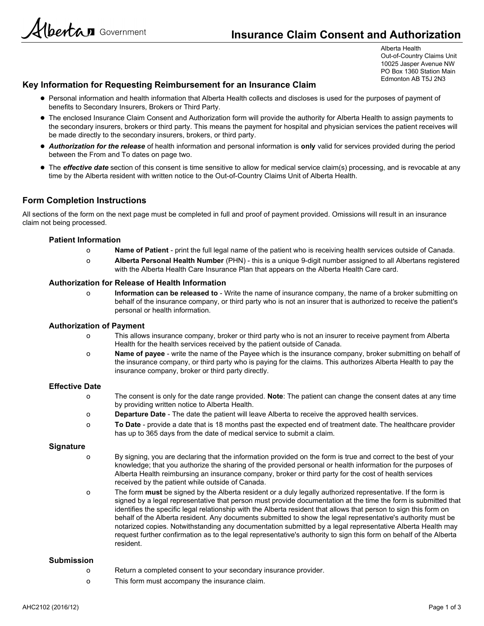Hbertan Government

Alberta Health Out-of-Country Claims Unit 10025 Jasper Avenue NW PO Box 1360 Station Main Edmonton AB T5J 2N3

### Key Information for Requesting Reimbursement for an Insurance Claim

- Personal information and health information that Alberta Health collects and discloses is used for the purposes of payment of benefits to Secondary Insurers, Brokers or Third Party.
- The enclosed Insurance Claim Consent and Authorization form will provide the authority for Alberta Health to assign payments to the secondary insurers, brokers or third party. This means the payment for hospital and physician services the patient receives will be made directly to the secondary insurers, brokers, or third party.
- Authorization for the release of health information and personal information is only valid for services provided during the period between the From and To dates on page two.
- The effective date section of this consent is time sensitive to allow for medical service claim(s) processing, and is revocable at any time by the Alberta resident with written notice to the Out-of-Country Claims Unit of Alberta Health.

### Form Completion Instructions

All sections of the form on the next page must be completed in full and proof of payment provided. Omissions will result in an insurance claim not being processed.

### Patient Information

- o Name of Patient print the full legal name of the patient who is receiving health services outside of Canada.
- o Alberta Personal Health Number (PHN) this is a unique 9-digit number assigned to all Albertans registered with the Alberta Health Care Insurance Plan that appears on the Alberta Health Care card.

### Authorization for Release of Health Information

o Information can be released to - Write the name of insurance company, the name of a broker submitting on behalf of the insurance company, or third party who is not an insurer that is authorized to receive the patient's personal or health information.

### Authorization of Payment

- o This allows insurance company, broker or third party who is not an insurer to receive payment from Alberta Health for the health services received by the patient outside of Canada.
- o Name of payee write the name of the Payee which is the insurance company, broker submitting on behalf of the insurance company, or third party who is paying for the claims. This authorizes Alberta Health to pay the insurance company, broker or third party directly.

### Effective Date

- o The consent is only for the date range provided. Note: The patient can change the consent dates at any time by providing written notice to Alberta Health.
- o Departure Date The date the patient will leave Alberta to receive the approved health services.
- o To Date provide a date that is 18 months past the expected end of treatment date. The healthcare provider has up to 365 days from the date of medical service to submit a claim.

### **Signature**

- o By signing, you are declaring that the information provided on the form is true and correct to the best of your knowledge; that you authorize the sharing of the provided personal or health information for the purposes of Alberta Health reimbursing an insurance company, broker or third party for the cost of health services received by the patient while outside of Canada.
- o The form must be signed by the Alberta resident or a duly legally authorized representative. If the form is signed by a legal representative that person must provide documentation at the time the form is submitted that identifies the specific legal relationship with the Alberta resident that allows that person to sign this form on behalf of the Alberta resident. Any documents submitted to show the legal representative's authority must be notarized copies. Notwithstanding any documentation submitted by a legal representative Alberta Health may request further confirmation as to the legal representative's authority to sign this form on behalf of the Alberta resident.

### Submission

- o Return a completed consent to your secondary insurance provider.
- o This form must accompany the insurance claim.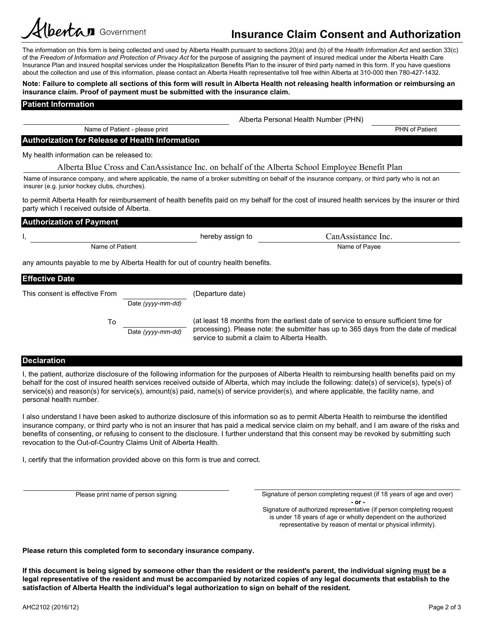# bertan Government

## Insurance Claim Consent and Authorization

The information on this form is being collected and used by Alberta Health pursuant to sections 20(a) and (b) of the Health Information Act and section 33(c) of the Freedom of Information and Protection of Privacy Act for the purpose of assigning the payment of insured medical under the Alberta Health Care Insurance Plan and insured hospital services under the Hospitalization Benefits Plan to the insurer of third party named in this form. If you have questions about the collection and use of this information, please contact an Alberta Health representative toll free within Alberta at 310-000 then 780-427-1432.

### Note: Failure to complete all sections of this form will result in Alberta Health not releasing health information or reimbursing an insurance claim. Proof of payment must be submitted with the insurance claim.

### Patient Information

PHN of Patient

### Authorization for Release of Health Information

Name of Patient - please print

My health information can be released to:

Name of insurance company, and where applicable, the name of a broker submitting on behalf of the insurance company, or third party who is not an insurer (e.g. junior hockey clubs, churches).

to permit Alberta Health for reimbursement of health benefits paid on my behalf for the cost of insured health services by the insurer or third party which I received outside of Alberta.

| <b>Authorization of Payment</b>                                                                  |                  |                    |  |
|--------------------------------------------------------------------------------------------------|------------------|--------------------|--|
|                                                                                                  | hereby assign to | CanAssistance Inc. |  |
| Name of Patient                                                                                  |                  | Name of Payee      |  |
| any amounts payable to me by Alberta Health for out of country health benefits.<br>$F(f) = F(f)$ |                  |                    |  |

| I ETIECUVE DALE                |                   |                                                                                                                                                                                                                            |
|--------------------------------|-------------------|----------------------------------------------------------------------------------------------------------------------------------------------------------------------------------------------------------------------------|
| This consent is effective From |                   | (Departure date)                                                                                                                                                                                                           |
|                                | Date (yyyy-mm-dd) |                                                                                                                                                                                                                            |
| То                             | Date (yyyy-mm-dd) | (at least 18 months from the earliest date of service to ensure sufficient time for<br>processing). Please note: the submitter has up to 365 days from the date of medical<br>service to submit a claim to Alberta Health. |

### Declaration

I, the patient, authorize disclosure of the following information for the purposes of Alberta Health to reimbursing health benefits paid on my behalf for the cost of insured health services received outside of Alberta, which may include the following: date(s) of service(s), type(s) of service(s) and reason(s) for service(s), amount(s) paid, name(s) of service provider(s), and where applicable, the facility name, and personal health number.

I also understand I have been asked to authorize disclosure of this information so as to permit Alberta Health to reimburse the identified insurance company, or third party who is not an insurer that has paid a medical service claim on my behalf, and I am aware of the risks and benefits of consenting, or refusing to consent to the disclosure. I further understand that this consent may be revoked by submitting such revocation to the Out-of-Country Claims Unit of Alberta Health.

I, certify that the information provided above on this form is true and correct.

Please print name of person signing **Signature of person completing request** (if 18 years of age and over) - or -

Signature of authorized representative (if person completing request is under 18 years of age or wholly dependent on the authorized representative by reason of mental or physical infirmity).

Please return this completed form to secondary insurance company.

If this document is being signed by someone other than the resident or the resident's parent, the individual signing must be a legal representative of the resident and must be accompanied by notarized copies of any legal documents that establish to the satisfaction of Alberta Health the individual's legal authorization to sign on behalf of the resident.